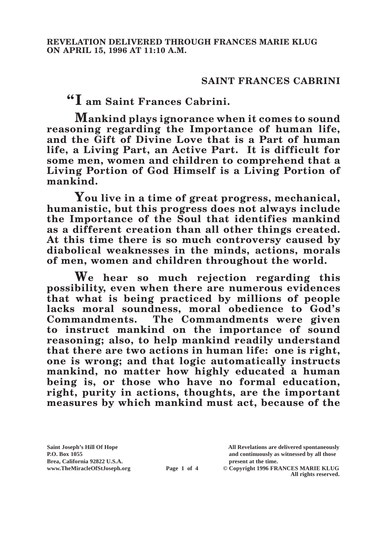## **SAINT FRANCES CABRINI**

**"I am Saint Frances Cabrini.**

**Mankind plays ignorance when it comes to sound reasoning regarding the Importance of human life, and the Gift of Divine Love that is a Part of human life, a Living Part, an Active Part. It is difficult for some men, women and children to comprehend that a Living Portion of God Himself is a Living Portion of mankind.**

**You live in a time of great progress, mechanical, humanistic, but this progress does not always include the Importance of the Soul that identifies mankind as a different creation than all other things created. At this time there is so much controversy caused by diabolical weaknesses in the minds, actions, morals of men, women and children throughout the world.**

**We hear so much rejection regarding this possibility, even when there are numerous evidences that what is being practiced by millions of people**  lacks moral soundness, moral obedience to God's **Commandments. The Commandments were given to instruct mankind on the importance of sound reasoning; also, to help mankind readily understand that there are two actions in human life: one is right, one is wrong; and that logic automatically instructs mankind, no matter how highly educated a human being is, or those who have no formal education, right, purity in actions, thoughts, are the important measures by which mankind must act, because of the** 

Brea, California 92822 U.S.A.<br>
www.TheMiracleOfStJoseph.org<br> **Page 1 of 4** © Copyright 1996 FR.

**Saint Joseph's Hill Of Hope All Revelations are delivered spontaneously P.O. Box 1055 and continuously as witnessed by all those** 

**Page 1 of 4** © Copyright 1996 FRANCES MARIE KLUG **All rights reserved.**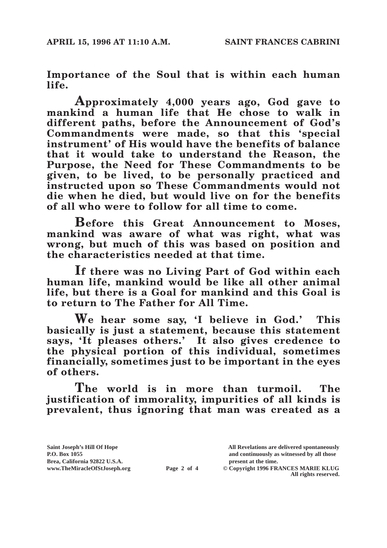**Importance of the Soul that is within each human life.**

**Approximately 4,000 years ago, God gave to mankind a human life that He chose to walk in different paths, before the Announcement of God's Commandments were made, so that this 'special instrument' of His would have the benefits of balance that it would take to understand the Reason, the Purpose, the Need for These Commandments to be given, to be lived, to be personally practiced and instructed upon so These Commandments would not die when he died, but would live on for the benefits of all who were to follow for all time to come.**

**Before this Great Announcement to Moses, mankind was aware of what was right, what was wrong, but much of this was based on position and the characteristics needed at that time.**

**If there was no Living Part of God within each human life, mankind would be like all other animal life, but there is a Goal for mankind and this Goal is to return to The Father for All Time.**

**We hear some say, 'I believe in God.' This basically is just a statement, because this statement says, 'It pleases others.' It also gives credence to the physical portion of this individual, sometimes financially, sometimes just to be important in the eyes of others.**

**The world is in more than turmoil. The justification of immorality, impurities of all kinds is prevalent, thus ignoring that man was created as a** 

Brea, California 92822 U.S.A.<br>
www.TheMiracleOfStJoseph.org<br> **Page 2 of 4** © Copyright 1996 FR.

**Saint Joseph's Hill Of Hope All Revelations are delivered spontaneously P.O. Box 1055 and continuously as witnessed by all those** 

**Page 2 of 4** © Copyright 1996 FRANCES MARIE KLUG **All rights reserved.**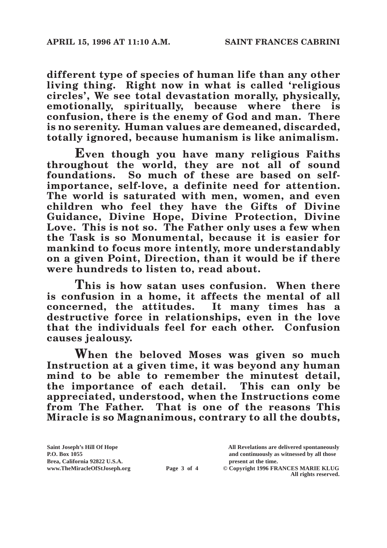**different type of species of human life than any other living thing. Right now in what is called 'religious circles', We see total devastation morally, physically, emotionally, spiritually, because where there is confusion, there is the enemy of God and man. There is no serenity. Human values are demeaned, discarded, totally ignored, because humanism is like animalism.**

**Even though you have many religious Faiths throughout the world, they are not all of sound foundations. So much of these are based on selfimportance, self-love, a definite need for attention. The world is saturated with men, women, and even children who feel they have the Gifts of Divine Guidance, Divine Hope, Divine Protection, Divine Love. This is not so. The Father only uses a few when the Task is so Monumental, because it is easier for mankind to focus more intently, more understandably on a given Point, Direction, than it would be if there were hundreds to listen to, read about.**

**This is how satan uses confusion. When there is confusion in a home, it affects the mental of all concerned, the attitudes. It many times has a destructive force in relationships, even in the love that the individuals feel for each other. Confusion causes jealousy.**

**When the beloved Moses was given so much Instruction at a given time, it was beyond any human mind to be able to remember the minutest detail, the importance of each detail. This can only be appreciated, understood, when the Instructions come from The Father. That is one of the reasons This Miracle is so Magnanimous, contrary to all the doubts,** 

Brea, California 92822 U.S.A.<br>
www.TheMiracleOfStJoseph.org<br> **Page 3 of 4** © Copyright 1996 FR.

**Saint Joseph's Hill Of Hope All Revelations are delivered spontaneously P.O. Box 1055 and continuously as witnessed by all those** 

**Page 3 of 4** © Copyright 1996 FRANCES MARIE KLUG **All rights reserved.**